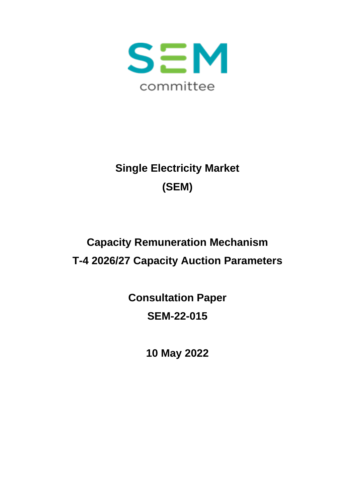

# **Single Electricity Market (SEM)**

# **Capacity Remuneration Mechanism T-4 2026/27 Capacity Auction Parameters**

**Consultation Paper SEM-22-015**

**10 May 2022**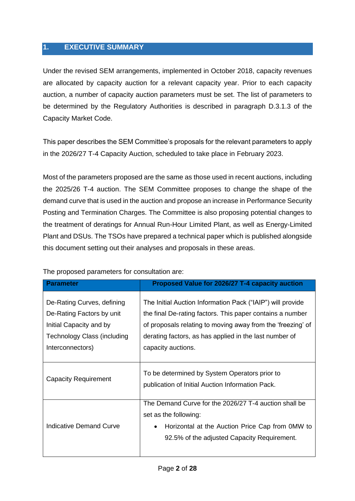#### <span id="page-1-0"></span>**1. EXECUTIVE SUMMARY**

Under the revised SEM arrangements, implemented in October 2018, capacity revenues are allocated by capacity auction for a relevant capacity year. Prior to each capacity auction, a number of capacity auction parameters must be set. The list of parameters to be determined by the Regulatory Authorities is described in paragraph D.3.1.3 of the Capacity Market Code.

This paper describes the SEM Committee's proposals for the relevant parameters to apply in the 2026/27 T-4 Capacity Auction, scheduled to take place in February 2023.

Most of the parameters proposed are the same as those used in recent auctions, including the 2025/26 T-4 auction. The SEM Committee proposes to change the shape of the demand curve that is used in the auction and propose an increase in Performance Security Posting and Termination Charges. The Committee is also proposing potential changes to the treatment of deratings for Annual Run-Hour Limited Plant, as well as Energy-Limited Plant and DSUs. The TSOs have prepared a technical paper which is published alongside this document setting out their analyses and proposals in these areas.

| Parameter                                                                                                                             | Proposed Value for 2026/27 T-4 capacity auction                                                                                                                                                                                                                        |
|---------------------------------------------------------------------------------------------------------------------------------------|------------------------------------------------------------------------------------------------------------------------------------------------------------------------------------------------------------------------------------------------------------------------|
| De-Rating Curves, defining<br>De-Rating Factors by unit<br>Initial Capacity and by<br>Technology Class (including<br>Interconnectors) | The Initial Auction Information Pack ("IAIP") will provide<br>the final De-rating factors. This paper contains a number<br>of proposals relating to moving away from the 'freezing' of<br>derating factors, as has applied in the last number of<br>capacity auctions. |
| <b>Capacity Requirement</b>                                                                                                           | To be determined by System Operators prior to<br>publication of Initial Auction Information Pack.                                                                                                                                                                      |
| Indicative Demand Curve                                                                                                               | The Demand Curve for the 2026/27 T-4 auction shall be<br>set as the following:<br>Horizontal at the Auction Price Cap from 0MW to<br>92.5% of the adjusted Capacity Requirement.                                                                                       |

The proposed parameters for consultation are: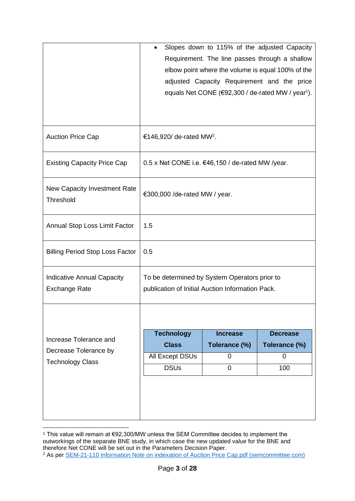|                                           |                                                            |                 | Slopes down to 115% of the adjusted Capacity                     |
|-------------------------------------------|------------------------------------------------------------|-----------------|------------------------------------------------------------------|
|                                           | Requirement. The line passes through a shallow             |                 |                                                                  |
|                                           | elbow point where the volume is equal 100% of the          |                 |                                                                  |
|                                           | adjusted Capacity Requirement and the price                |                 |                                                                  |
|                                           |                                                            |                 | equals Net CONE ( $€92,300$ / de-rated MW / year <sup>1</sup> ). |
|                                           |                                                            |                 |                                                                  |
|                                           |                                                            |                 |                                                                  |
| <b>Auction Price Cap</b>                  | €146,920/ de-rated MW <sup>2</sup> .                       |                 |                                                                  |
| <b>Existing Capacity Price Cap</b>        | 0.5 x Net CONE i.e. $\epsilon$ 46,150 / de-rated MW /year. |                 |                                                                  |
| New Capacity Investment Rate<br>Threshold | €300,000 / de-rated MW / year.                             |                 |                                                                  |
| Annual Stop Loss Limit Factor             | 1.5                                                        |                 |                                                                  |
| <b>Billing Period Stop Loss Factor</b>    | 0.5                                                        |                 |                                                                  |
| <b>Indicative Annual Capacity</b>         | To be determined by System Operators prior to              |                 |                                                                  |
| <b>Exchange Rate</b>                      | publication of Initial Auction Information Pack.           |                 |                                                                  |
|                                           |                                                            |                 |                                                                  |
|                                           |                                                            |                 |                                                                  |
| Increase Tolerance and                    | <b>Technology</b>                                          | <b>Increase</b> | <b>Decrease</b>                                                  |
| Decrease Tolerance by                     | <b>Class</b>                                               | Tolerance (%)   | Tolerance (%)                                                    |
| <b>Technology Class</b>                   | All Except DSUs                                            | 0               | 0                                                                |
|                                           | <b>DSUs</b>                                                | $\overline{0}$  | 100                                                              |
|                                           |                                                            |                 |                                                                  |
|                                           |                                                            |                 |                                                                  |
|                                           |                                                            |                 |                                                                  |
|                                           |                                                            |                 |                                                                  |

<sup>1</sup> This value will remain at €92,300/MW unless the SEM Committee decides to implement the outworkings of the separate BNE study, in which case the new updated value for the BNE and therefore Net CONE will be set out in the Parameters Decision Paper.

<sup>2</sup> As per [SEM-21-110 Information Note on indexation of Auction Price Cap.pdf \(semcommittee.com\)](https://www.semcommittee.com/sites/semc/files/media-files/SEM-21-110%20Information%20Note%20on%20indexation%20of%20Auction%20Price%20Cap.pdf)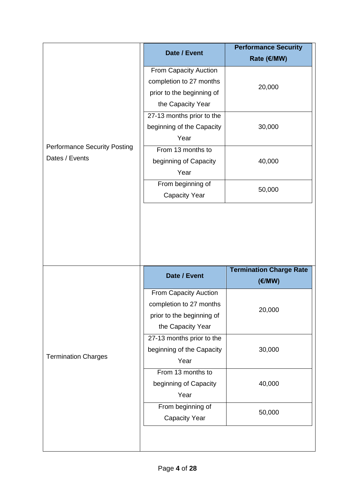|                                     | Date / Event              | <b>Performance Security</b><br>Rate (€/MW) |  |
|-------------------------------------|---------------------------|--------------------------------------------|--|
|                                     | From Capacity Auction     |                                            |  |
|                                     | completion to 27 months   | 20,000                                     |  |
|                                     | prior to the beginning of |                                            |  |
|                                     | the Capacity Year         |                                            |  |
|                                     | 27-13 months prior to the |                                            |  |
|                                     | beginning of the Capacity | 30,000                                     |  |
|                                     | Year                      |                                            |  |
| <b>Performance Security Posting</b> | From 13 months to         |                                            |  |
| Dates / Events                      | beginning of Capacity     | 40,000                                     |  |
|                                     | Year                      |                                            |  |
|                                     | From beginning of         | 50,000                                     |  |
|                                     | <b>Capacity Year</b>      |                                            |  |
|                                     |                           | <b>Termination Charge Rate</b>             |  |
|                                     | Date / Event              | (E/MW)                                     |  |
|                                     | From Capacity Auction     |                                            |  |
|                                     | completion to 27 months   | 20,000                                     |  |
|                                     | prior to the beginning of |                                            |  |
|                                     | the Capacity Year         |                                            |  |
|                                     | 27-13 months prior to the |                                            |  |
| <b>Termination Charges</b>          | beginning of the Capacity | 30,000                                     |  |
|                                     | Year                      |                                            |  |
|                                     |                           |                                            |  |
|                                     | From 13 months to         |                                            |  |
|                                     | beginning of Capacity     | 40,000                                     |  |
|                                     | Year                      |                                            |  |
|                                     | From beginning of         | 50,000                                     |  |
|                                     | <b>Capacity Year</b>      |                                            |  |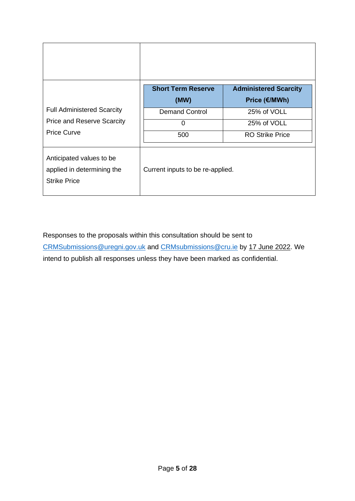|                                                                                              | <b>Short Term Reserve</b><br>(MW) | <b>Administered Scarcity</b><br>Price (€/MWh)        |
|----------------------------------------------------------------------------------------------|-----------------------------------|------------------------------------------------------|
| <b>Full Administered Scarcity</b><br><b>Price and Reserve Scarcity</b><br><b>Price Curve</b> | <b>Demand Control</b><br>0<br>500 | 25% of VOLL<br>25% of VOLL<br><b>RO Strike Price</b> |
| Anticipated values to be<br>applied in determining the<br><b>Strike Price</b>                | Current inputs to be re-applied.  |                                                      |

Responses to the proposals within this consultation should be sent to [CRMSubmissions@uregni.gov.uk](mailto:CRMSubmissions@uregni.gov.uk) and [CRMsubmissions@cru.ie](mailto:CRMsubmissions@cru.ie) by 17 June 2022. We intend to publish all responses unless they have been marked as confidential.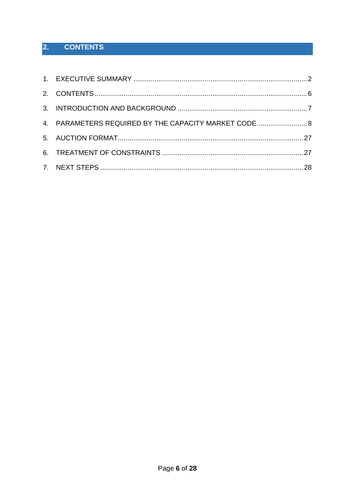#### <span id="page-5-0"></span> $2.$ **CONTENTS**

| 4. PARAMETERS REQUIRED BY THE CAPACITY MARKET CODE 8 |  |
|------------------------------------------------------|--|
|                                                      |  |
|                                                      |  |
|                                                      |  |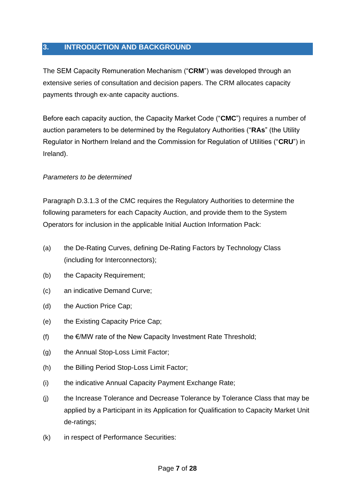#### <span id="page-6-0"></span>**3. INTRODUCTION AND BACKGROUND**

The SEM Capacity Remuneration Mechanism ("**CRM**") was developed through an extensive series of consultation and decision papers. The CRM allocates capacity payments through ex-ante capacity auctions.

Before each capacity auction, the Capacity Market Code ("**CMC**") requires a number of auction parameters to be determined by the Regulatory Authorities ("**RAs**" (the Utility Regulator in Northern Ireland and the Commission for Regulation of Utilities ("**CRU**") in Ireland).

#### *Parameters to be determined*

Paragraph D.3.1.3 of the CMC requires the Regulatory Authorities to determine the following parameters for each Capacity Auction, and provide them to the System Operators for inclusion in the applicable Initial Auction Information Pack:

- (a) the De-Rating Curves, defining De-Rating Factors by Technology Class (including for Interconnectors);
- (b) the Capacity Requirement;
- (c) an indicative Demand Curve;
- (d) the Auction Price Cap;
- (e) the Existing Capacity Price Cap;
- (f) the  $\epsilon$ /MW rate of the New Capacity Investment Rate Threshold:
- (g) the Annual Stop-Loss Limit Factor;
- (h) the Billing Period Stop-Loss Limit Factor;
- (i) the indicative Annual Capacity Payment Exchange Rate;
- (j) the Increase Tolerance and Decrease Tolerance by Tolerance Class that may be applied by a Participant in its Application for Qualification to Capacity Market Unit de-ratings;
- (k) in respect of Performance Securities: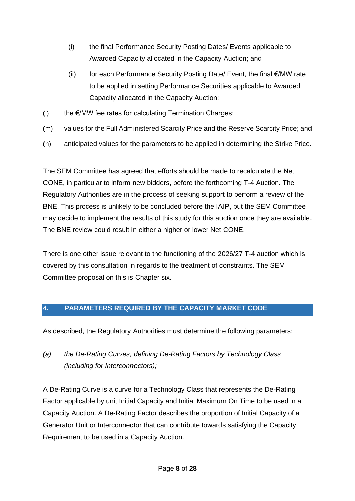- (i) the final Performance Security Posting Dates/ Events applicable to Awarded Capacity allocated in the Capacity Auction; and
- (ii) for each Performance Security Posting Date/ Event, the final €/MW rate to be applied in setting Performance Securities applicable to Awarded Capacity allocated in the Capacity Auction;
- (I) the  $E/MW$  fee rates for calculating Termination Charges;
- (m) values for the Full Administered Scarcity Price and the Reserve Scarcity Price; and
- (n) anticipated values for the parameters to be applied in determining the Strike Price.

The SEM Committee has agreed that efforts should be made to recalculate the Net CONE, in particular to inform new bidders, before the forthcoming T-4 Auction. The Regulatory Authorities are in the process of seeking support to perform a review of the BNE. This process is unlikely to be concluded before the IAIP, but the SEM Committee may decide to implement the results of this study for this auction once they are available. The BNE review could result in either a higher or lower Net CONE.

There is one other issue relevant to the functioning of the 2026/27 T-4 auction which is covered by this consultation in regards to the treatment of constraints. The SEM Committee proposal on this is Chapter six.

#### <span id="page-7-0"></span>**4. PARAMETERS REQUIRED BY THE CAPACITY MARKET CODE**

As described, the Regulatory Authorities must determine the following parameters:

*(a) the De-Rating Curves, defining De-Rating Factors by Technology Class (including for Interconnectors);* 

A De-Rating Curve is a curve for a Technology Class that represents the De-Rating Factor applicable by unit Initial Capacity and Initial Maximum On Time to be used in a Capacity Auction. A De-Rating Factor describes the proportion of Initial Capacity of a Generator Unit or Interconnector that can contribute towards satisfying the Capacity Requirement to be used in a Capacity Auction.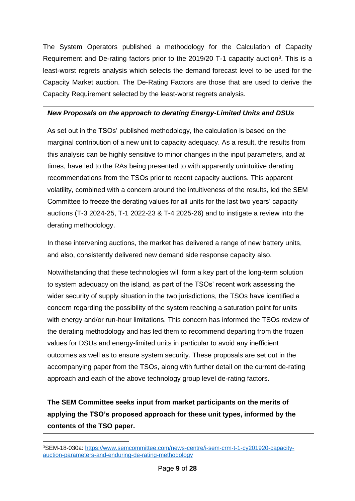The System Operators published a methodology for the Calculation of Capacity Requirement and De-rating factors prior to the 2019/20 T-1 capacity auction<sup>3</sup>. This is a least-worst regrets analysis which selects the demand forecast level to be used for the Capacity Market auction. The De-Rating Factors are those that are used to derive the Capacity Requirement selected by the least-worst regrets analysis.

#### *New Proposals on the approach to derating Energy-Limited Units and DSUs*

As set out in the TSOs' published methodology, the calculation is based on the marginal contribution of a new unit to capacity adequacy. As a result, the results from this analysis can be highly sensitive to minor changes in the input parameters, and at times, have led to the RAs being presented to with apparently unintuitive derating recommendations from the TSOs prior to recent capacity auctions. This apparent volatility, combined with a concern around the intuitiveness of the results, led the SEM Committee to freeze the derating values for all units for the last two years' capacity auctions (T-3 2024-25, T-1 2022-23 & T-4 2025-26) and to instigate a review into the derating methodology.

In these intervening auctions, the market has delivered a range of new battery units, and also, consistently delivered new demand side response capacity also.

Notwithstanding that these technologies will form a key part of the long-term solution to system adequacy on the island, as part of the TSOs' recent work assessing the wider security of supply situation in the two jurisdictions, the TSOs have identified a concern regarding the possibility of the system reaching a saturation point for units with energy and/or run-hour limitations. This concern has informed the TSOs review of the derating methodology and has led them to recommend departing from the frozen values for DSUs and energy-limited units in particular to avoid any inefficient outcomes as well as to ensure system security. These proposals are set out in the accompanying paper from the TSOs, along with further detail on the current de-rating approach and each of the above technology group level de-rating factors.

**The SEM Committee seeks input from market participants on the merits of applying the TSO's proposed approach for these unit types, informed by the contents of the TSO paper.**

<sup>3</sup>SEM-18-030a: [https://www.semcommittee.com/news-centre/i-sem-crm-t-1-cy201920-capacity](https://www.semcommittee.com/news-centre/i-sem-crm-t-1-cy201920-capacity-auction-parameters-and-enduring-de-rating-methodology)[auction-parameters-and-enduring-de-rating-methodology](https://www.semcommittee.com/news-centre/i-sem-crm-t-1-cy201920-capacity-auction-parameters-and-enduring-de-rating-methodology)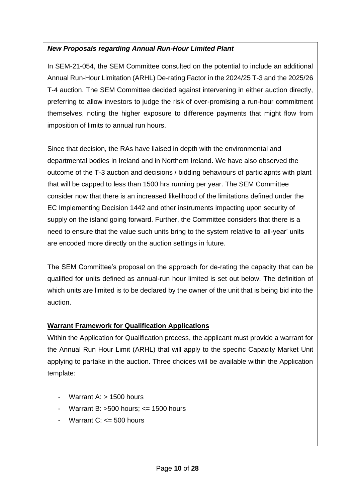## *New Proposals regarding Annual Run-Hour Limited Plant*

In SEM-21-054, the SEM Committee consulted on the potential to include an additional Annual Run-Hour Limitation (ARHL) De-rating Factor in the 2024/25 T-3 and the 2025/26 T-4 auction. The SEM Committee decided against intervening in either auction directly, preferring to allow investors to judge the risk of over-promising a run-hour commitment themselves, noting the higher exposure to difference payments that might flow from imposition of limits to annual run hours.

Since that decision, the RAs have liaised in depth with the environmental and departmental bodies in Ireland and in Northern Ireland. We have also observed the outcome of the T-3 auction and decisions / bidding behaviours of particiapnts with plant that will be capped to less than 1500 hrs running per year. The SEM Committee consider now that there is an increased likelihood of the limitations defined under the EC Implementing Decision 1442 and other instruments impacting upon security of supply on the island going forward. Further, the Committee considers that there is a need to ensure that the value such units bring to the system relative to 'all-year' units are encoded more directly on the auction settings in future.

The SEM Committee's proposal on the approach for de-rating the capacity that can be qualified for units defined as annual-run hour limited is set out below. The definition of which units are limited is to be declared by the owner of the unit that is being bid into the auction.

## **Warrant Framework for Qualification Applications**

Within the Application for Qualification process, the applicant must provide a warrant for the Annual Run Hour Limit (ARHL) that will apply to the specific Capacity Market Unit applying to partake in the auction. Three choices will be available within the Application template:

- Warrant A: > 1500 hours
- Warrant B:  $>500$  hours:  $\leq$  1500 hours
- Warrant  $C: \leq 500$  hours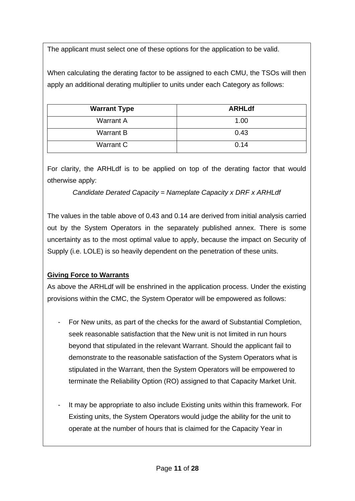The applicant must select one of these options for the application to be valid.

When calculating the derating factor to be assigned to each CMU, the TSOs will then apply an additional derating multiplier to units under each Category as follows:

| <b>Warrant Type</b> | <b>ARHLdf</b> |
|---------------------|---------------|
| <b>Warrant A</b>    | 1.00          |
| <b>Warrant B</b>    | 0.43          |
| Warrant C           | 0.14          |

For clarity, the ARHLdf is to be applied on top of the derating factor that would otherwise apply:

*Candidate Derated Capacity = Nameplate Capacity x DRF x ARHLdf*

The values in the table above of 0.43 and 0.14 are derived from initial analysis carried out by the System Operators in the separately published annex. There is some uncertainty as to the most optimal value to apply, because the impact on Security of Supply (i.e. LOLE) is so heavily dependent on the penetration of these units.

## **Giving Force to Warrants**

As above the ARHLdf will be enshrined in the application process. Under the existing provisions within the CMC, the System Operator will be empowered as follows:

- For New units, as part of the checks for the award of Substantial Completion, seek reasonable satisfaction that the New unit is not limited in run hours beyond that stipulated in the relevant Warrant. Should the applicant fail to demonstrate to the reasonable satisfaction of the System Operators what is stipulated in the Warrant, then the System Operators will be empowered to terminate the Reliability Option (RO) assigned to that Capacity Market Unit.
- It may be appropriate to also include Existing units within this framework. For Existing units, the System Operators would judge the ability for the unit to operate at the number of hours that is claimed for the Capacity Year in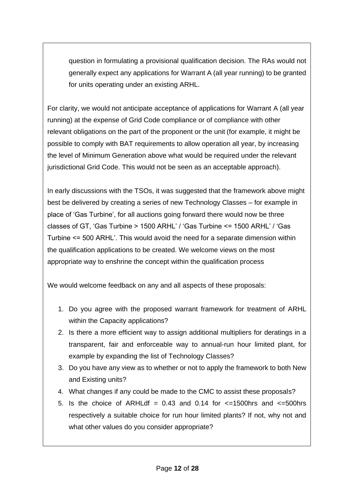question in formulating a provisional qualification decision. The RAs would not generally expect any applications for Warrant A (all year running) to be granted for units operating under an existing ARHL.

For clarity, we would not anticipate acceptance of applications for Warrant A (all year running) at the expense of Grid Code compliance or of compliance with other relevant obligations on the part of the proponent or the unit (for example, it might be possible to comply with BAT requirements to allow operation all year, by increasing the level of Minimum Generation above what would be required under the relevant jurisdictional Grid Code. This would not be seen as an acceptable approach).

In early discussions with the TSOs, it was suggested that the framework above might best be delivered by creating a series of new Technology Classes – for example in place of 'Gas Turbine', for all auctions going forward there would now be three classes of GT, 'Gas Turbine > 1500 ARHL' / 'Gas Turbine <= 1500 ARHL' / 'Gas Turbine <= 500 ARHL'. This would avoid the need for a separate dimension within the qualification applications to be created. We welcome views on the most appropriate way to enshrine the concept within the qualification process

We would welcome feedback on any and all aspects of these proposals:

- 1. Do you agree with the proposed warrant framework for treatment of ARHL within the Capacity applications?
- 2. Is there a more efficient way to assign additional multipliers for deratings in a transparent, fair and enforceable way to annual-run hour limited plant, for example by expanding the list of Technology Classes?
- 3. Do you have any view as to whether or not to apply the framework to both New and Existing units?
- 4. What changes if any could be made to the CMC to assist these proposals?
- 5. Is the choice of ARHLdf =  $0.43$  and  $0.14$  for  $\leq$ =1500hrs and  $\leq$ =500hrs respectively a suitable choice for run hour limited plants? If not, why not and what other values do you consider appropriate?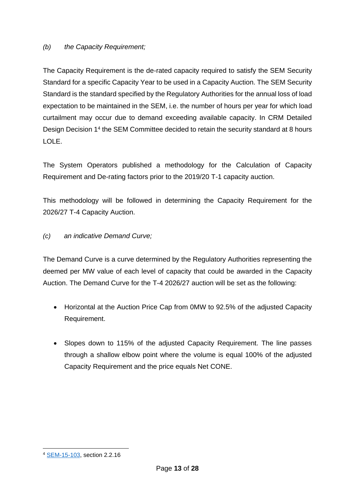#### *(b) the Capacity Requirement;*

The Capacity Requirement is the de-rated capacity required to satisfy the SEM Security Standard for a specific Capacity Year to be used in a Capacity Auction. The SEM Security Standard is the standard specified by the Regulatory Authorities for the annual loss of load expectation to be maintained in the SEM, i.e. the number of hours per year for which load curtailment may occur due to demand exceeding available capacity. In CRM Detailed Design Decision 1<sup>4</sup> the SEM Committee decided to retain the security standard at 8 hours LOLE.

The System Operators published a methodology for the Calculation of Capacity Requirement and De-rating factors prior to the 2019/20 T-1 capacity auction.

This methodology will be followed in determining the Capacity Requirement for the 2026/27 T-4 Capacity Auction.

#### *(c) an indicative Demand Curve;*

The Demand Curve is a curve determined by the Regulatory Authorities representing the deemed per MW value of each level of capacity that could be awarded in the Capacity Auction. The Demand Curve for the T-4 2026/27 auction will be set as the following:

- Horizontal at the Auction Price Cap from 0MW to 92.5% of the adjusted Capacity Requirement.
- Slopes down to 115% of the adjusted Capacity Requirement. The line passes through a shallow elbow point where the volume is equal 100% of the adjusted Capacity Requirement and the price equals Net CONE.

<sup>4</sup> [SEM-15-103,](https://www.semcommittee.com/sites/semcommittee.com/files/media-files/SEM-15-103%20CRM%20Decision%201_0.pdf) section 2.2.16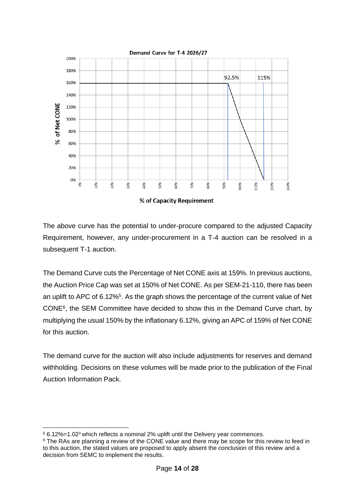

The above curve has the potential to under-procure compared to the adjusted Capacity Requirement, however, any under-procurement in a T-4 auction can be resolved in a subsequent T-1 auction.

The Demand Curve cuts the Percentage of Net CONE axis at 159%. In previous auctions, the Auction Price Cap was set at 150% of Net CONE. As per SEM-21-110, there has been an uplift to APC of 6.12%<sup>5</sup>. As the graph shows the percentage of the current value of Net CONE<sup>6</sup> , the SEM Committee have decided to show this in the Demand Curve chart, by multiplying the usual 150% by the inflationary 6.12%, giving an APC of 159% of Net CONE for this auction.

The demand curve for the auction will also include adjustments for reserves and demand withholding. Decisions on these volumes will be made prior to the publication of the Final Auction Information Pack.

 $56.12\%$ =1.02<sup>3</sup> which reflects a nominal 2% uplift until the Delivery year commences.

<sup>&</sup>lt;sup>6</sup> The RAs are planning a review of the CONE value and there may be scope for this review to feed in to this auction, the stated values are proposed to apply absent the conclusion of this review and a decision from SEMC to implement the results.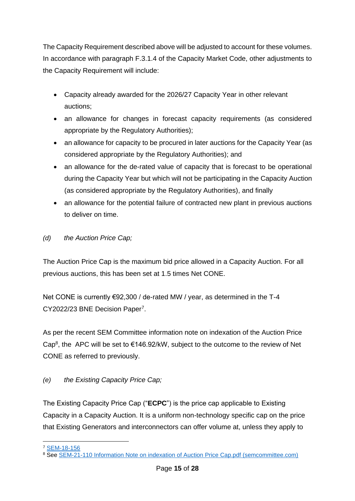The Capacity Requirement described above will be adjusted to account for these volumes. In accordance with paragraph F.3.1.4 of the Capacity Market Code, other adjustments to the Capacity Requirement will include:

- Capacity already awarded for the 2026/27 Capacity Year in other relevant auctions;
- an allowance for changes in forecast capacity requirements (as considered appropriate by the Regulatory Authorities);
- an allowance for capacity to be procured in later auctions for the Capacity Year (as considered appropriate by the Regulatory Authorities); and
- an allowance for the de-rated value of capacity that is forecast to be operational during the Capacity Year but which will not be participating in the Capacity Auction (as considered appropriate by the Regulatory Authorities), and finally
- an allowance for the potential failure of contracted new plant in previous auctions to deliver on time.
- *(d) the Auction Price Cap;*

The Auction Price Cap is the maximum bid price allowed in a Capacity Auction. For all previous auctions, this has been set at 1.5 times Net CONE.

Net CONE is currently €92,300 / de-rated MW / year, as determined in the T-4 CY2022/23 BNE Decision Paper<sup>7</sup>.

As per the recent SEM Committee information note on indexation of the Auction Price Cap<sup>8</sup>, the APC will be set to  $\epsilon$ 146.92/kW, subject to the outcome to the review of Net CONE as referred to previously.

## *(e) the Existing Capacity Price Cap;*

The Existing Capacity Price Cap ("**ECPC**") is the price cap applicable to Existing Capacity in a Capacity Auction. It is a uniform non-technology specific cap on the price that Existing Generators and interconnectors can offer volume at, unless they apply to

<sup>7</sup> [SEM-18-156](https://www.semcommittee.com/publications/sem-18-156-publication-crm-t-4-cy202223-best-new-entrant-decision-paper)

<sup>&</sup>lt;sup>8</sup> See [SEM-21-110 Information Note on indexation of Auction Price Cap.pdf \(semcommittee.com\)](https://www.semcommittee.com/sites/semc/files/media-files/SEM-21-110%20Information%20Note%20on%20indexation%20of%20Auction%20Price%20Cap.pdf)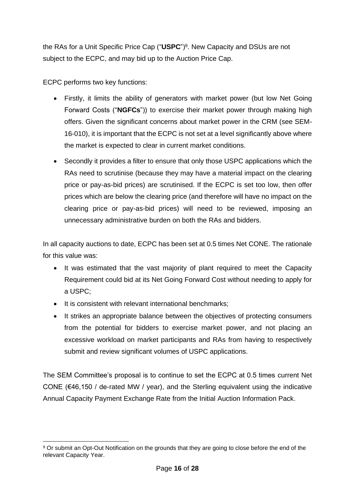the RAs for a Unit Specific Price Cap ("**USPC**")<sup>9</sup> . New Capacity and DSUs are not subject to the ECPC, and may bid up to the Auction Price Cap.

ECPC performs two key functions:

- Firstly, it limits the ability of generators with market power (but low Net Going Forward Costs ("**NGFCs**")) to exercise their market power through making high offers. Given the significant concerns about market power in the CRM (see SEM-16-010), it is important that the ECPC is not set at a level significantly above where the market is expected to clear in current market conditions.
- Secondly it provides a filter to ensure that only those USPC applications which the RAs need to scrutinise (because they may have a material impact on the clearing price or pay-as-bid prices) are scrutinised. If the ECPC is set too low, then offer prices which are below the clearing price (and therefore will have no impact on the clearing price or pay-as-bid prices) will need to be reviewed, imposing an unnecessary administrative burden on both the RAs and bidders.

In all capacity auctions to date, ECPC has been set at 0.5 times Net CONE. The rationale for this value was:

- It was estimated that the vast majority of plant required to meet the Capacity Requirement could bid at its Net Going Forward Cost without needing to apply for a USPC;
- It is consistent with relevant international benchmarks;
- It strikes an appropriate balance between the objectives of protecting consumers from the potential for bidders to exercise market power, and not placing an excessive workload on market participants and RAs from having to respectively submit and review significant volumes of USPC applications.

The SEM Committee's proposal is to continue to set the ECPC at 0.5 times current Net CONE ( $€46,150$  / de-rated MW / year), and the Sterling equivalent using the indicative Annual Capacity Payment Exchange Rate from the Initial Auction Information Pack.

<sup>&</sup>lt;sup>9</sup> Or submit an Opt-Out Notification on the grounds that they are going to close before the end of the relevant Capacity Year.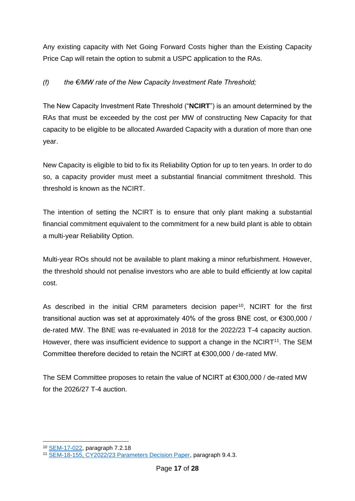Any existing capacity with Net Going Forward Costs higher than the Existing Capacity Price Cap will retain the option to submit a USPC application to the RAs.

### *(f) the €/MW rate of the New Capacity Investment Rate Threshold;*

The New Capacity Investment Rate Threshold ("**NCIRT**") is an amount determined by the RAs that must be exceeded by the cost per MW of constructing New Capacity for that capacity to be eligible to be allocated Awarded Capacity with a duration of more than one year.

New Capacity is eligible to bid to fix its Reliability Option for up to ten years. In order to do so, a capacity provider must meet a substantial financial commitment threshold. This threshold is known as the NCIRT.

The intention of setting the NCIRT is to ensure that only plant making a substantial financial commitment equivalent to the commitment for a new build plant is able to obtain a multi-year Reliability Option.

Multi-year ROs should not be available to plant making a minor refurbishment. However, the threshold should not penalise investors who are able to build efficiently at low capital cost.

As described in the initial CRM parameters decision paper<sup>10</sup>, NCIRT for the first transitional auction was set at approximately 40% of the gross BNE cost, or €300,000 / de-rated MW. The BNE was re-evaluated in 2018 for the 2022/23 T-4 capacity auction. However, there was insufficient evidence to support a change in the NCIRT<sup>11</sup>. The SEM Committee therefore decided to retain the NCIRT at €300,000 / de-rated MW.

The SEM Committee proposes to retain the value of NCIRT at €300,000 / de-rated MW for the 2026/27 T-4 auction.

<sup>10</sup> [SEM-17-022,](https://www.semcommittee.com/sites/semcommittee.com/files/media-files/SEM-17-022%20CRM%20Parameters%20Decision%20Paper_1.pdf) paragraph 7.2.18

<sup>&</sup>lt;sup>11</sup> [SEM-18-155, CY2022/23 Parameters Decision Paper,](https://www.semcommittee.com/sites/semc/files/media-files/SEM-18-155%20CRM%20T-4%20CY202223%20Parameters%20Decision%20Paper.pdf) paragraph 9.4.3.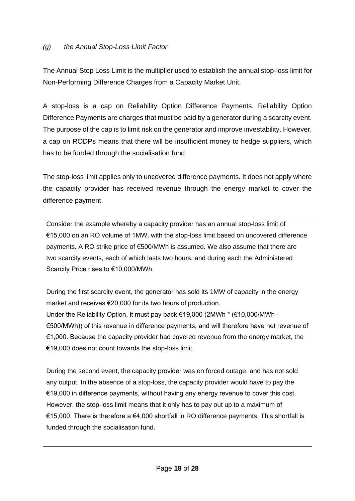The Annual Stop Loss Limit is the multiplier used to establish the annual stop-loss limit for Non-Performing Difference Charges from a Capacity Market Unit.

A stop-loss is a cap on Reliability Option Difference Payments. Reliability Option Difference Payments are charges that must be paid by a generator during a scarcity event. The purpose of the cap is to limit risk on the generator and improve investability. However, a cap on RODPs means that there will be insufficient money to hedge suppliers, which has to be funded through the socialisation fund.

The stop-loss limit applies only to uncovered difference payments. It does not apply where the capacity provider has received revenue through the energy market to cover the difference payment.

Consider the example whereby a capacity provider has an annual stop-loss limit of €15,000 on an RO volume of 1MW, with the stop-loss limit based on uncovered difference payments. A RO strike price of €500/MWh is assumed. We also assume that there are two scarcity events, each of which lasts two hours, and during each the Administered Scarcity Price rises to €10,000/MWh.

During the first scarcity event, the generator has sold its 1MW of capacity in the energy market and receives €20,000 for its two hours of production. Under the Reliability Option, it must pay back €19,000 (2MWh \* (€10,000/MWh - €500/MWh)) of this revenue in difference payments, and will therefore have net revenue of €1,000. Because the capacity provider had covered revenue from the energy market, the €19,000 does not count towards the stop-loss limit.

During the second event, the capacity provider was on forced outage, and has not sold any output. In the absence of a stop-loss, the capacity provider would have to pay the €19,000 in difference payments, without having any energy revenue to cover this cost. However, the stop-loss limit means that it only has to pay out up to a maximum of €15,000. There is therefore a €4,000 shortfall in RO difference payments. This shortfall is funded through the socialisation fund.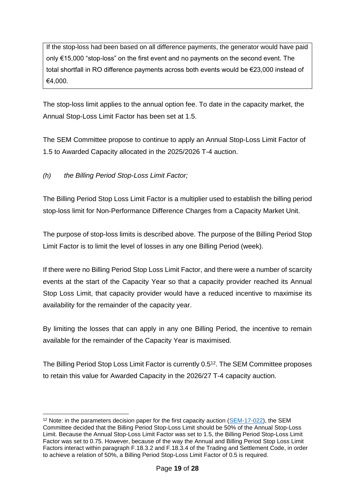If the stop-loss had been based on all difference payments, the generator would have paid only €15,000 "stop-loss" on the first event and no payments on the second event. The total shortfall in RO difference payments across both events would be €23,000 instead of €4,000.

The stop-loss limit applies to the annual option fee. To date in the capacity market, the Annual Stop-Loss Limit Factor has been set at 1.5.

The SEM Committee propose to continue to apply an Annual Stop-Loss Limit Factor of 1.5 to Awarded Capacity allocated in the 2025/2026 T-4 auction.

*(h) the Billing Period Stop-Loss Limit Factor;* 

The Billing Period Stop Loss Limit Factor is a multiplier used to establish the billing period stop-loss limit for Non-Performance Difference Charges from a Capacity Market Unit.

The purpose of stop-loss limits is described above. The purpose of the Billing Period Stop Limit Factor is to limit the level of losses in any one Billing Period (week).

If there were no Billing Period Stop Loss Limit Factor, and there were a number of scarcity events at the start of the Capacity Year so that a capacity provider reached its Annual Stop Loss Limit, that capacity provider would have a reduced incentive to maximise its availability for the remainder of the capacity year.

By limiting the losses that can apply in any one Billing Period, the incentive to remain available for the remainder of the Capacity Year is maximised.

The Billing Period Stop Loss Limit Factor is currently 0.5<sup>12</sup>. The SEM Committee proposes to retain this value for Awarded Capacity in the 2026/27 T-4 capacity auction.

<sup>&</sup>lt;sup>12</sup> Note: in the parameters decision paper for the first capacity auction [\(SEM-17-022\)](https://www.semcommittee.com/sites/semcommittee.com/files/media-files/SEM-17-022%20CRM%20Parameters%20Decision%20Paper_1.pdf), the SEM Committee decided that the Billing Period Stop-Loss Limit should be 50% of the Annual Stop-Loss Limit. Because the Annual Stop-Loss Limit Factor was set to 1.5, the Billing Period Stop-Loss Limit Factor was set to 0.75. However, because of the way the Annual and Billing Period Stop Loss Limit Factors interact within paragraph F.18.3.2 and F.18.3.4 of the Trading and Settlement Code, in order to achieve a relation of 50%, a Billing Period Stop-Loss Limit Factor of 0.5 is required.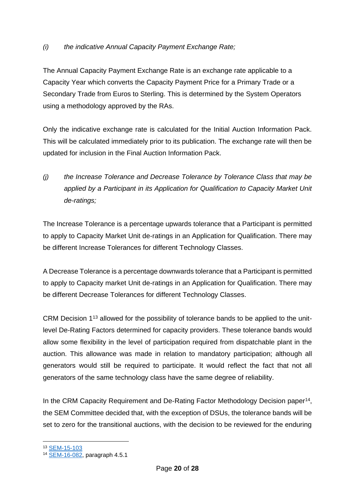The Annual Capacity Payment Exchange Rate is an exchange rate applicable to a Capacity Year which converts the Capacity Payment Price for a Primary Trade or a Secondary Trade from Euros to Sterling. This is determined by the System Operators using a methodology approved by the RAs.

Only the indicative exchange rate is calculated for the Initial Auction Information Pack. This will be calculated immediately prior to its publication. The exchange rate will then be updated for inclusion in the Final Auction Information Pack.

*(j) the Increase Tolerance and Decrease Tolerance by Tolerance Class that may be*  applied by a Participant in its Application for Qualification to Capacity Market Unit *de-ratings;* 

The Increase Tolerance is a percentage upwards tolerance that a Participant is permitted to apply to Capacity Market Unit de-ratings in an Application for Qualification. There may be different Increase Tolerances for different Technology Classes.

A Decrease Tolerance is a percentage downwards tolerance that a Participant is permitted to apply to Capacity market Unit de-ratings in an Application for Qualification. There may be different Decrease Tolerances for different Technology Classes.

CRM Decision 1<sup>13</sup> allowed for the possibility of tolerance bands to be applied to the unitlevel De-Rating Factors determined for capacity providers. These tolerance bands would allow some flexibility in the level of participation required from dispatchable plant in the auction. This allowance was made in relation to mandatory participation; although all generators would still be required to participate. It would reflect the fact that not all generators of the same technology class have the same degree of reliability.

In the CRM Capacity Requirement and De-Rating Factor Methodology Decision paper<sup>14</sup>, the SEM Committee decided that, with the exception of DSUs, the tolerance bands will be set to zero for the transitional auctions, with the decision to be reviewed for the enduring

<sup>13</sup> [SEM-15-103](https://www.semcommittee.com/sites/semcommittee.com/files/media-files/SEM-15-103%20CRM%20Decision%201_0.pdf)

<sup>14</sup> [SEM-16-082,](https://www.semcommittee.com/sites/semcommittee.com/files/media-files/SEM-16-082%20CRM%20Capacity%20Requirement%20%20De-rating%20Methodology%20Decision%20Paper.pdf) paragraph 4.5.1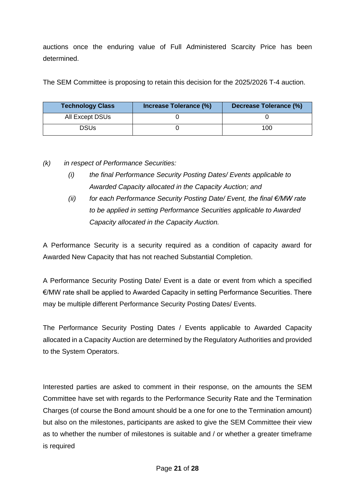auctions once the enduring value of Full Administered Scarcity Price has been determined.

The SEM Committee is proposing to retain this decision for the 2025/2026 T-4 auction.

| <b>Technology Class</b> | Increase Tolerance (%) | Decrease Tolerance (%) |
|-------------------------|------------------------|------------------------|
| All Except DSUs         |                        |                        |
| DSUs                    |                        | 100                    |

*(k) in respect of Performance Securities:*

- *(i) the final Performance Security Posting Dates/ Events applicable to Awarded Capacity allocated in the Capacity Auction; and*
- *(ii) for each Performance Security Posting Date/ Event, the final €/MW rate to be applied in setting Performance Securities applicable to Awarded Capacity allocated in the Capacity Auction.*

A Performance Security is a security required as a condition of capacity award for Awarded New Capacity that has not reached Substantial Completion.

A Performance Security Posting Date/ Event is a date or event from which a specified €/MW rate shall be applied to Awarded Capacity in setting Performance Securities. There may be multiple different Performance Security Posting Dates/ Events.

The Performance Security Posting Dates / Events applicable to Awarded Capacity allocated in a Capacity Auction are determined by the Regulatory Authorities and provided to the System Operators.

Interested parties are asked to comment in their response, on the amounts the SEM Committee have set with regards to the Performance Security Rate and the Termination Charges (of course the Bond amount should be a one for one to the Termination amount) but also on the milestones, participants are asked to give the SEM Committee their view as to whether the number of milestones is suitable and / or whether a greater timeframe is required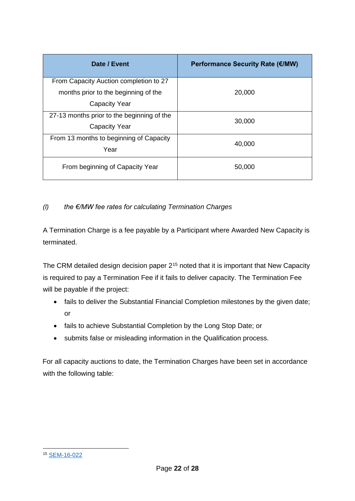| Date / Event                               | Performance Security Rate (€/MW) |  |
|--------------------------------------------|----------------------------------|--|
| From Capacity Auction completion to 27     |                                  |  |
| months prior to the beginning of the       | 20,000                           |  |
| <b>Capacity Year</b>                       |                                  |  |
| 27-13 months prior to the beginning of the | 30,000                           |  |
| <b>Capacity Year</b>                       |                                  |  |
| From 13 months to beginning of Capacity    | 40,000                           |  |
| Year                                       |                                  |  |
| From beginning of Capacity Year            | 50,000                           |  |

## *(l) the €/MW fee rates for calculating Termination Charges*

A Termination Charge is a fee payable by a Participant where Awarded New Capacity is terminated.

The CRM detailed design decision paper 2<sup>15</sup> noted that it is important that New Capacity is required to pay a Termination Fee if it fails to deliver capacity. The Termination Fee will be payable if the project:

- fails to deliver the Substantial Financial Completion milestones by the given date; or
- fails to achieve Substantial Completion by the Long Stop Date; or
- submits false or misleading information in the Qualification process.

For all capacity auctions to date, the Termination Charges have been set in accordance with the following table:

<sup>15</sup> [SEM-16-022](https://www.semcommittee.com/publication/sem-16-022-i-sem-crm-detailed-design-decision-paper-2)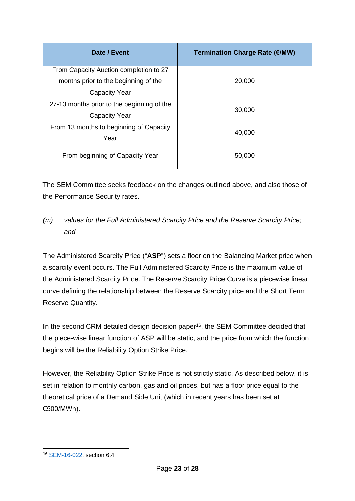| Date / Event                               | <b>Termination Charge Rate (€/MW)</b> |
|--------------------------------------------|---------------------------------------|
| From Capacity Auction completion to 27     |                                       |
| months prior to the beginning of the       | 20,000                                |
| <b>Capacity Year</b>                       |                                       |
| 27-13 months prior to the beginning of the | 30,000                                |
| <b>Capacity Year</b>                       |                                       |
| From 13 months to beginning of Capacity    | 40,000                                |
| Year                                       |                                       |
| From beginning of Capacity Year            | 50,000                                |

The SEM Committee seeks feedback on the changes outlined above, and also those of the Performance Security rates.

## *(m) values for the Full Administered Scarcity Price and the Reserve Scarcity Price; and*

The Administered Scarcity Price ("**ASP**") sets a floor on the Balancing Market price when a scarcity event occurs. The Full Administered Scarcity Price is the maximum value of the Administered Scarcity Price. The Reserve Scarcity Price Curve is a piecewise linear curve defining the relationship between the Reserve Scarcity price and the Short Term Reserve Quantity.

In the second CRM detailed design decision paper<sup>16</sup>, the SEM Committee decided that the piece-wise linear function of ASP will be static, and the price from which the function begins will be the Reliability Option Strike Price.

However, the Reliability Option Strike Price is not strictly static. As described below, it is set in relation to monthly carbon, gas and oil prices, but has a floor price equal to the theoretical price of a Demand Side Unit (which in recent years has been set at €500/MWh).

<sup>16</sup> [SEM-16-022,](https://www.semcommittee.com/sites/semcommittee.com/files/media-files/SEM-16-022%20I%20SEM%20CRM%20Detailed%20Design%20Decision%20Paper%202.pdf) section 6.4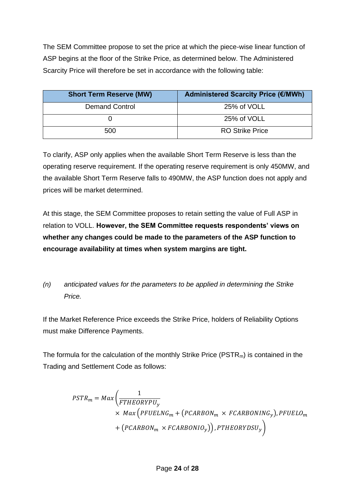The SEM Committee propose to set the price at which the piece-wise linear function of ASP begins at the floor of the Strike Price, as determined below. The Administered Scarcity Price will therefore be set in accordance with the following table:

| <b>Short Term Reserve (MW)</b> | Administered Scarcity Price (€/MWh) |
|--------------------------------|-------------------------------------|
| <b>Demand Control</b>          | 25% of VOLL                         |
|                                | 25% of VOLL                         |
| 500                            | <b>RO Strike Price</b>              |

To clarify, ASP only applies when the available Short Term Reserve is less than the operating reserve requirement. If the operating reserve requirement is only 450MW, and the available Short Term Reserve falls to 490MW, the ASP function does not apply and prices will be market determined.

At this stage, the SEM Committee proposes to retain setting the value of Full ASP in relation to VOLL. **However, the SEM Committee requests respondents' views on whether any changes could be made to the parameters of the ASP function to encourage availability at times when system margins are tight.**

## *(n) anticipated values for the parameters to be applied in determining the Strike Price.*

If the Market Reference Price exceeds the Strike Price, holders of Reliability Options must make Difference Payments.

The formula for the calculation of the monthly Strike Price ( $PSTR<sub>m</sub>$ ) is contained in the Trading and Settlement Code as follows:

$$
PSTR_m = Max \left( \frac{1}{FTHEORYPU_y} \times Max \left( PFUELNG_m + \left( PCARBON_m \times FCARBONING_y \right), PFUELO_m \right) + \left( PCARBON_m \times FCARBONIO_y \right) \right)
$$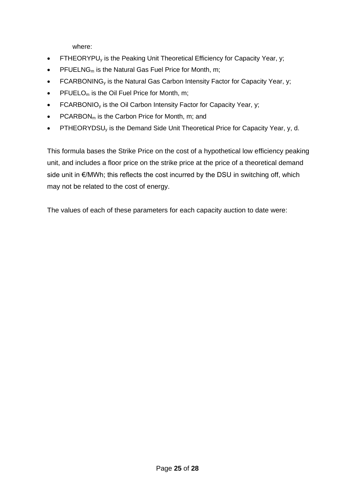where:

- FTHEORYPU<sub>y</sub> is the Peaking Unit Theoretical Efficiency for Capacity Year, y;
- PFUELNG<sub>m</sub> is the Natural Gas Fuel Price for Month, m;
- FCARBONING<sub>v</sub> is the Natural Gas Carbon Intensity Factor for Capacity Year, y;
- PFUELO<sub>m</sub> is the Oil Fuel Price for Month, m;
- FCARBONIO<sub>y</sub> is the Oil Carbon Intensity Factor for Capacity Year, y;
- PCARBON<sub>m</sub> is the Carbon Price for Month, m; and
- PTHEORYDSU<sub>y</sub> is the Demand Side Unit Theoretical Price for Capacity Year, y, d.

This formula bases the Strike Price on the cost of a hypothetical low efficiency peaking unit, and includes a floor price on the strike price at the price of a theoretical demand side unit in €/MWh; this reflects the cost incurred by the DSU in switching off, which may not be related to the cost of energy.

The values of each of these parameters for each capacity auction to date were: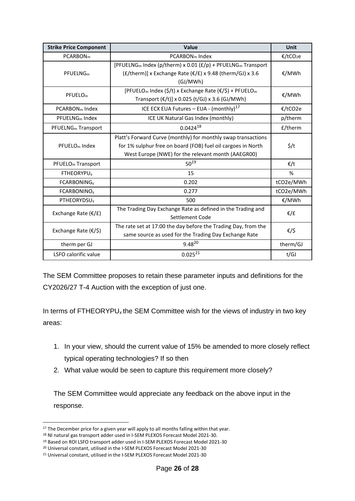| <b>Strike Price Component</b>  | <b>Value</b>                                                                                                                                                                        | <b>Unit</b>      |
|--------------------------------|-------------------------------------------------------------------------------------------------------------------------------------------------------------------------------------|------------------|
| PCARBON <sub>m</sub>           | PCARBON <sub>m</sub> Index                                                                                                                                                          | €/tCO2e          |
| PFUELNG <sub>m</sub>           | [PFUELNG <sub>m</sub> Index (p/therm) x 0.01 ( $E/p$ ) + PFUELNG <sub>m</sub> Transport<br>$(E/\text{therm})$ ] x Exchange Rate ( $E/E$ ) x 9.48 (therm/GJ) x 3.6<br>(GJ/MWh)       | €/MWh            |
| PFUELO <sub>m</sub>            | [PFUELO <sub>m</sub> Index (\$/t) x Exchange Rate ( $\epsilon$ /\$) + PFUELO <sub>m</sub><br>Transport $(E/t)$ ] x 0.025 (t/GJ) x 3.6 (GJ/MWh)                                      | €/MWh            |
| PCARBON <sub>m</sub> Index     | ICE ECX EUA Futures - EUA - (monthly) <sup>17</sup>                                                                                                                                 | €/tCO2e          |
| PFUELNG <sub>m</sub> Index     | ICE UK Natural Gas Index (monthly)                                                                                                                                                  | p/therm          |
| PFUELNG <sub>m</sub> Transport | $0.0424^{18}$                                                                                                                                                                       | £/therm          |
| PFUELO <sub>m</sub> Index      | Platt's Forward Curve (monthly) for monthly swap transactions<br>for 1% sulphur free on board (FOB) fuel oil cargoes in North<br>West Europe (NWE) for the relevant month (AAEGR00) | $\frac{2}{3}$ /t |
| PFUELO <sub>m</sub> Transport  | $50^{19}$                                                                                                                                                                           | $\epsilon/t$     |
| <b>FTHEORYPU<sub>v</sub></b>   | 15                                                                                                                                                                                  | %                |
| <b>FCARBONING<sub>y</sub></b>  | 0.202                                                                                                                                                                               | tCO2e/MWh        |
| <b>FCARBONINO<sub>y</sub></b>  | 0.277                                                                                                                                                                               | tCO2e/MWh        |
| <b>PTHEORYDSU<sub>y</sub></b>  | 500                                                                                                                                                                                 | €/MWh            |
| Exchange Rate $(E/E)$          | The Trading Day Exchange Rate as defined in the Trading and<br>Settlement Code                                                                                                      | €/£              |
| Exchange Rate $(\epsilon/\xi)$ | The rate set at 17:00 the day before the Trading Day, from the<br>same source as used for the Trading Day Exchange Rate                                                             | €/\$             |
| therm per GJ                   | $9.48^{20}$                                                                                                                                                                         | therm/GJ         |
| LSFO calorific value           | $0.025^{21}$                                                                                                                                                                        | t/GJ             |

The SEM Committee proposes to retain these parameter inputs and definitions for the CY2026/27 T-4 Auction with the exception of just one.

In terms of FTHEORYPU<sub>x</sub> the SEM Committee wish for the views of industry in two key areas:

- 1. In your view, should the current value of 15% be amended to more closely reflect typical operating technologies? If so then
- 2. What value would be seen to capture this requirement more closely?

The SEM Committee would appreciate any feedback on the above input in the response.

 $17$  The December price for a given year will apply to all months falling within that year.

<sup>18</sup> NI natural gas transport adder used in I-SEM PLEXOS Forecast Model 2021-30.

<sup>19</sup> Based on ROI LSFO transport adder used in I-SEM PLEXOS Forecast Model 2021-30

<sup>20</sup> Universal constant, utilised in the I-SEM PLEXOS Forecast Model 2021-30

<sup>21</sup> Universal constant, utilised in the I-SEM PLEXOS Forecast Model 2021-30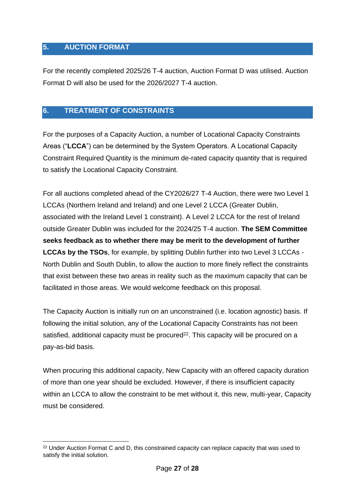## <span id="page-26-0"></span>**5. AUCTION FORMAT**

For the recently completed 2025/26 T-4 auction, Auction Format D was utilised. Auction Format D will also be used for the 2026/2027 T-4 auction.

## <span id="page-26-1"></span>**6. TREATMENT OF CONSTRAINTS**

For the purposes of a Capacity Auction, a number of Locational Capacity Constraints Areas ("**LCCA**") can be determined by the System Operators. A Locational Capacity Constraint Required Quantity is the minimum de-rated capacity quantity that is required to satisfy the Locational Capacity Constraint.

For all auctions completed ahead of the CY2026/27 T-4 Auction, there were two Level 1 LCCAs (Northern Ireland and Ireland) and one Level 2 LCCA (Greater Dublin, associated with the Ireland Level 1 constraint). A Level 2 LCCA for the rest of Ireland outside Greater Dublin was included for the 2024/25 T-4 auction. **The SEM Committee seeks feedback as to whether there may be merit to the development of further LCCAs by the TSOs**, for example, by splitting Dublin further into two Level 3 LCCAs - North Dublin and South Dublin, to allow the auction to more finely reflect the constraints that exist between these two areas in reality such as the maximum capacity that can be facilitated in those areas. We would welcome feedback on this proposal.

The Capacity Auction is initially run on an unconstrained (i.e. location agnostic) basis. If following the initial solution, any of the Locational Capacity Constraints has not been satisfied, additional capacity must be procured<sup>22</sup>. This capacity will be procured on a pay-as-bid basis.

When procuring this additional capacity, New Capacity with an offered capacity duration of more than one year should be excluded. However, if there is insufficient capacity within an LCCA to allow the constraint to be met without it, this new, multi-year, Capacity must be considered.

<sup>&</sup>lt;sup>22</sup> Under Auction Format C and D, this constrained capacity can replace capacity that was used to satisfy the initial solution.